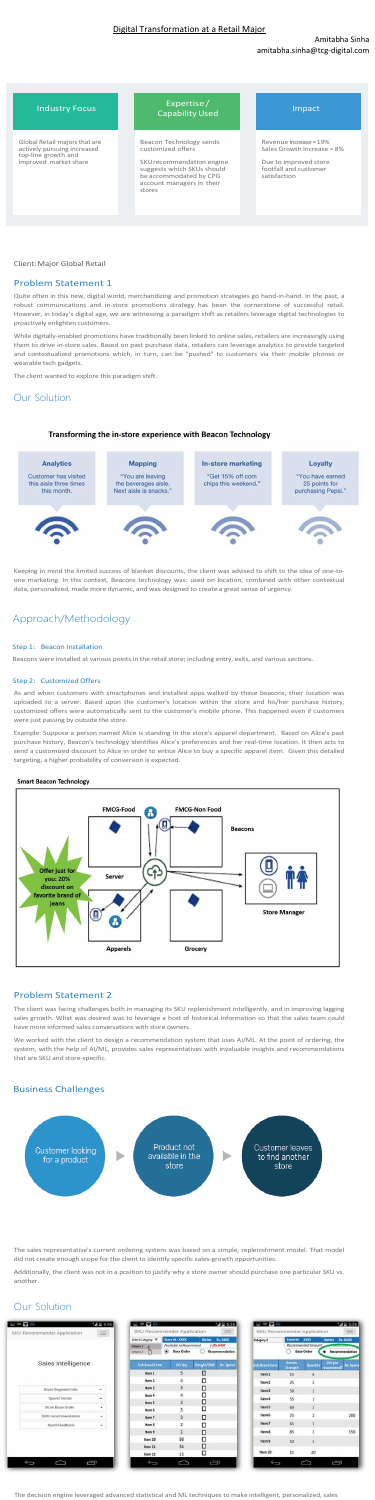## Amitabha Sinha amitabha.sinha@tcg-digital.com

## Client:Major Global Retail

## Problem Statement 1

Quite often in this new, digital world, merchandizing and promotion strategies go hand-in-hand. In the past, a robust communications and in-store promotions strategy has been the cornerstone of successful retail. However, in today's digital age, we are witnessing a paradigm shift as retailers leverage digital technologies to proactively enlighten customers.

While digitally-enabled promotions have traditionally been linked to online sales, retailers are increasingly using them to drive in-store sales. Based on past purchase data, retailers can leverage analytics to provide targeted and contextualized promotions which, in turn, can be "pushed" to customers via their mobile phones or wearable tech gadgets.

The client wanted to explore this paradigm shift.

# Our Solution



Keeping in mind the limited success of blanket discounts, the client was advised to shift to the idea of one-toone marketing. In this context, Beacons technology was: used on location, combined with other contextual data, personalized, made more dynamic, and was designed to create a great sense of urgency.

# Approach/Methodology

#### Step 1: Beacon Installation

Beacons were installed at various points in the retail store; including entry, exits, and various sections.

## Step 2: Customized Offers

As and when customers with smartphones and installed apps walked by these beacons, their location was uploaded to a server. Based upon the customer's location within the store and his/her purchase history, customized offers were automatically sent to the customer's mobile phone. This happened even if customers were just passing by outside the store.

Example: Suppose a person named Alice is standing in the store's apparel department. Based on Alice's past purchase history, Beacon's technology identifies Alice's preferences and her real-time location. It then acts to send a customized discount to Alice in order to entice Alice to buy a specific apparel item. Given this detailed targeting, a higher probability of conversion is expected.

### **Smart Beacon Technology**



## Problem Statement 2

The client was facing challenges both in managing its SKU replenishment intelligently, and in improving lagging sales growth. What was desired was to leverage a host of historical information so that the sales team could have more informed sales conversations with store owners.

We worked with the client to design a recommendation system that uses AI/ML. At the point of ordering, the system, with the help of AI/ML, provides sales representatives with invaluable insights and recommendations that are SKU and store-specific.

## Business Challenges



The sales representative's current ordering system was based on a simple, replenishment model. That model did not create enough scope for the client to identify specific sales-growth opportunities.

Additionally, the client was not in a position to justify why a store owner should purchase one particular SKU vs. another.

# Our Solution

| 国国家国<br>SKU Recommender Application                | <b>A</b> = 5:36<br>$\equiv$ | 国际零队                                          | SKU Recommender Application                                        | $A = 5.36$<br>$\equiv$                                      | 国际委任<br>SKU Recommender Application |                           |                                                         | "4 = 5:36<br>$=$                                           |
|----------------------------------------------------|-----------------------------|-----------------------------------------------|--------------------------------------------------------------------|-------------------------------------------------------------|-------------------------------------|---------------------------|---------------------------------------------------------|------------------------------------------------------------|
|                                                    |                             | Select Category V<br>Category 1<br>Category 2 | Store Id: XXXX<br>Available to Recommend<br>⋒<br><b>Base Order</b> | <b>Wallet</b><br>Rs. 6400<br>$(- Rs.6400$<br>Recommendation | Category 1                          | Store Id                  | <b>XXXXX</b><br>Recommended Amount<br><b>Base Order</b> | <b>Wallet</b><br>Rs. 6400<br>MURRAY<br>Recommendation<br>٠ |
| Sales Intelligence                                 |                             | <b>Sub Brand Form</b>                         | <b>BO Qty</b>                                                      | Bought/DNB<br><b>Rs.</b> Spend                              | <b>Sub Brand Form</b>               | Recom.<br><b>Strength</b> | Quantity                                                | Did you<br>Rs. Spend<br>recommend?                         |
|                                                    |                             | Item 1                                        | 5                                                                  | Ø                                                           | Item 1                              | 15                        | 6                                                       |                                                            |
|                                                    |                             | Item 2                                        | 4                                                                  | $\Box$                                                      | Item <sub>2</sub>                   | 25                        | $\overline{c}$                                          |                                                            |
| Store Segment Info                                 | $\check{~}$                 | Item 3                                        | 3                                                                  | $\Box$                                                      | Item <sub>3</sub>                   | 50                        | $\overline{1}$                                          |                                                            |
| Spend trends                                       | ۰                           | Item 4                                        | 4                                                                  | O                                                           | Item 4                              | 55                        | $\mathbf{1}$                                            |                                                            |
| Store Base Order                                   | ٠                           | Item 5                                        | 3                                                                  | O<br>□                                                      | Item 5                              | 60                        | $\overline{2}$                                          |                                                            |
| SKU recommendation                                 | ۰                           | Item 6<br>Item 7                              | 3<br>3                                                             | $\Box$                                                      | Item 6                              | 75                        | $\overline{2}$                                          | 200                                                        |
| Send Feedback                                      | ۰                           | Item 8                                        | $\overline{2}$                                                     | о                                                           | Item <sub>7</sub>                   | 65                        | $\overline{1}$                                          |                                                            |
|                                                    |                             | Item 9                                        | $\mathbf{1}$                                                       | ο                                                           | Item 8                              | 85                        | $\overline{2}$                                          | 550                                                        |
|                                                    |                             | Item 10                                       | 98                                                                 | $\Box$                                                      | Item <sub>9</sub>                   | 10                        | $\overline{\mathbf{3}}$                                 |                                                            |
|                                                    |                             | Item 11                                       | 34                                                                 | $\Box$                                                      |                                     |                           |                                                         |                                                            |
|                                                    |                             | Item 12                                       | 15                                                                 | ◻                                                           | Item 10                             | 11                        | 20                                                      |                                                            |
| Į<br>$\overline{\phantom{0}}$<br>$\hookrightarrow$ |                             | Û                                             | $\rightarrow$                                                      | Ţ                                                           | $\bullet$                           |                           |                                                         | Į                                                          |

The decision engine leveraged advanced statistical and ML techniques to make intelligent, personalized, sales

Global Retail majorsthat are actively pursuing increased top-line growth and improved market share

Industry Focus Expertise / Experiment of the United States of the United States of the United States of the United States of the United S

> Beacon Technology sends customized offers

SKUrecommendation engine suggests which SKUs should be accommodated by CPG account managers in their stores

Revenue Increase= 19% Sales Growth Increase = 8%

Due to improved store footfall and custome satisfaction